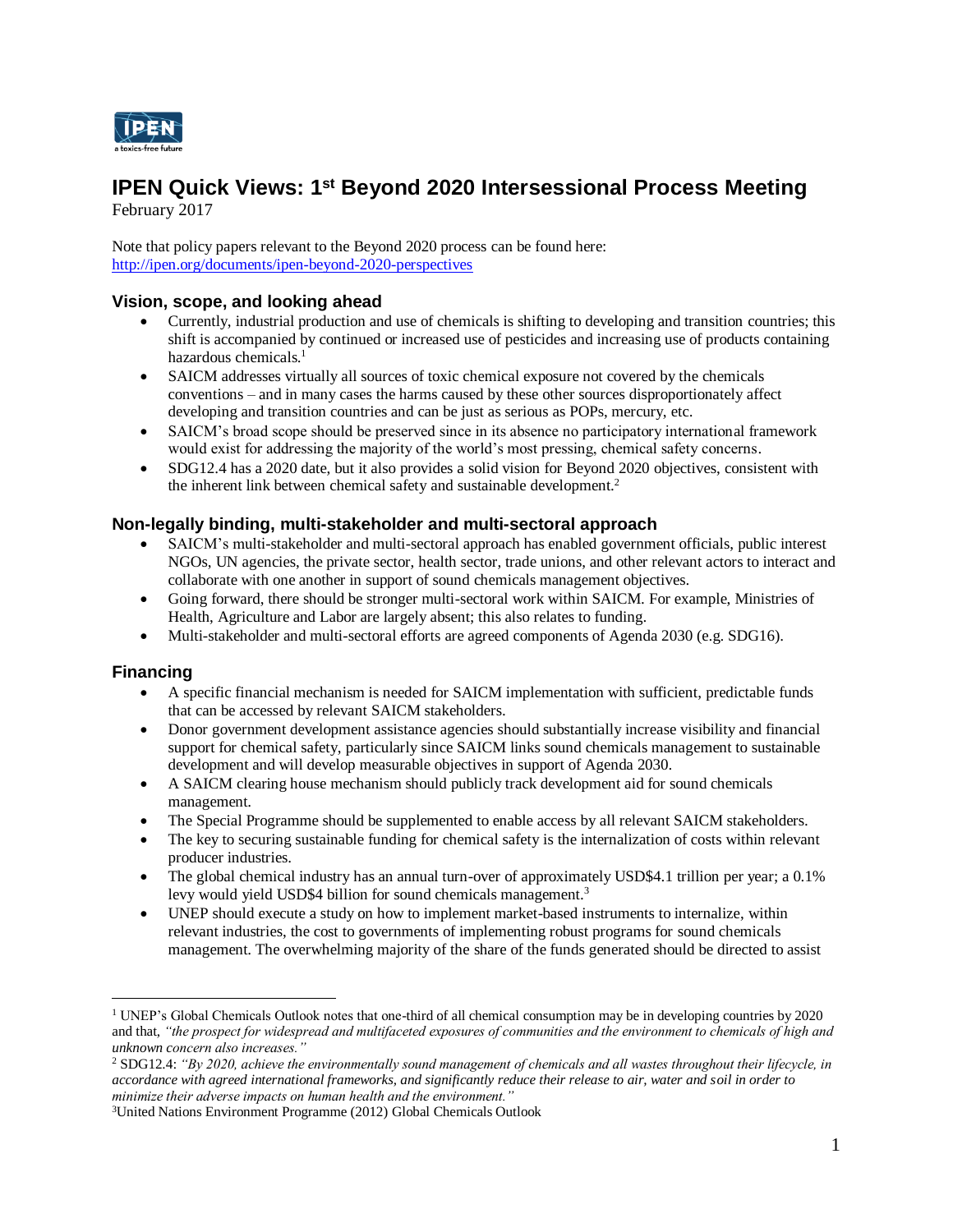

# **IPEN Quick Views: 1<sup>st</sup> Beyond 2020 Intersessional Process Meeting**

February 2017

Note that policy papers relevant to the Beyond 2020 process can be found here: <http://ipen.org/documents/ipen-beyond-2020-perspectives>

### **Vision, scope, and looking ahead**

- Currently, industrial production and use of chemicals is shifting to developing and transition countries; this shift is accompanied by continued or increased use of pesticides and increasing use of products containing hazardous chemicals. 1
- SAICM addresses virtually all sources of toxic chemical exposure not covered by the chemicals conventions – and in many cases the harms caused by these other sources disproportionately affect developing and transition countries and can be just as serious as POPs, mercury, etc.
- SAICM's broad scope should be preserved since in its absence no participatory international framework would exist for addressing the majority of the world's most pressing, chemical safety concerns.
- SDG12.4 has a 2020 date, but it also provides a solid vision for Beyond 2020 objectives, consistent with the inherent link between chemical safety and sustainable development.<sup>2</sup>

### **Non-legally binding, multi-stakeholder and multi-sectoral approach**

- SAICM's multi-stakeholder and multi-sectoral approach has enabled government officials, public interest NGOs, UN agencies, the private sector, health sector, trade unions, and other relevant actors to interact and collaborate with one another in support of sound chemicals management objectives.
- Going forward, there should be stronger multi-sectoral work within SAICM. For example, Ministries of Health, Agriculture and Labor are largely absent; this also relates to funding.
- Multi-stakeholder and multi-sectoral efforts are agreed components of Agenda 2030 (e.g. SDG16).

#### **Financing**

 $\overline{a}$ 

- A specific financial mechanism is needed for SAICM implementation with sufficient, predictable funds that can be accessed by relevant SAICM stakeholders.
- Donor government development assistance agencies should substantially increase visibility and financial support for chemical safety, particularly since SAICM links sound chemicals management to sustainable development and will develop measurable objectives in support of Agenda 2030.
- A SAICM clearing house mechanism should publicly track development aid for sound chemicals management.
- The Special Programme should be supplemented to enable access by all relevant SAICM stakeholders.
- The key to securing sustainable funding for chemical safety is the internalization of costs within relevant producer industries.
- The global chemical industry has an annual turn-over of approximately USD\$4.1 trillion per year; a 0.1% levy would yield USD\$4 billion for sound chemicals management.<sup>3</sup>
- UNEP should execute a study on how to implement market-based instruments to internalize, within relevant industries, the cost to governments of implementing robust programs for sound chemicals management. The overwhelming majority of the share of the funds generated should be directed to assist

<sup>1</sup> UNEP's Global Chemicals Outlook notes that one-third of all chemical consumption may be in developing countries by 2020 and that, *"the prospect for widespread and multifaceted exposures of communities and the environment to chemicals of high and unknown concern also increases."*

<sup>2</sup> SDG12.4: *"By 2020, achieve the environmentally sound management of chemicals and all wastes throughout their lifecycle, in accordance with agreed international frameworks, and significantly reduce their release to air, water and soil in order to minimize their adverse impacts on human health and the environment."*

<sup>3</sup>United Nations Environment Programme (2012) Global Chemicals Outlook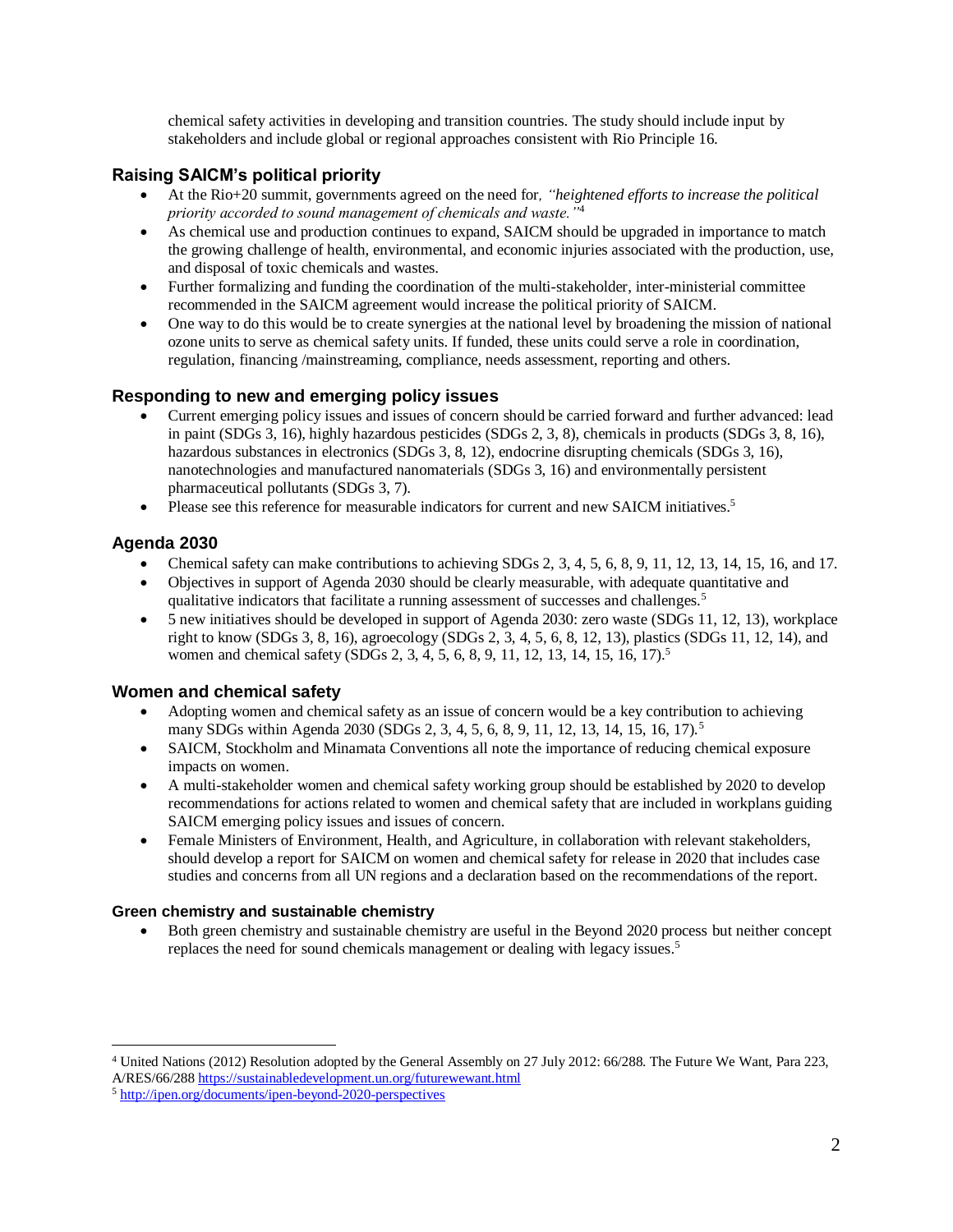chemical safety activities in developing and transition countries. The study should include input by stakeholders and include global or regional approaches consistent with Rio Principle 16.

## **Raising SAICM's political priority**

- At the Rio+20 summit, governments agreed on the need for*, "heightened efforts to increase the political priority accorded to sound management of chemicals and waste."*<sup>4</sup>
- As chemical use and production continues to expand, SAICM should be upgraded in importance to match the growing challenge of health, environmental, and economic injuries associated with the production, use, and disposal of toxic chemicals and wastes.
- Further formalizing and funding the coordination of the multi-stakeholder, inter-ministerial committee recommended in the SAICM agreement would increase the political priority of SAICM.
- One way to do this would be to create synergies at the national level by broadening the mission of national ozone units to serve as chemical safety units. If funded, these units could serve a role in coordination, regulation, financing /mainstreaming, compliance, needs assessment, reporting and others.

### **Responding to new and emerging policy issues**

- Current emerging policy issues and issues of concern should be carried forward and further advanced: lead in paint (SDGs 3, 16), highly hazardous pesticides (SDGs 2, 3, 8), chemicals in products (SDGs 3, 8, 16), hazardous substances in electronics (SDGs 3, 8, 12), endocrine disrupting chemicals (SDGs 3, 16), nanotechnologies and manufactured nanomaterials (SDGs 3, 16) and environmentally persistent pharmaceutical pollutants (SDGs 3, 7).
- Please see this reference for measurable indicators for current and new SAICM initiatives.<sup>5</sup>

### **Agenda 2030**

 $\overline{a}$ 

- Chemical safety can make contributions to achieving SDGs 2, 3, 4, 5, 6, 8, 9, 11, 12, 13, 14, 15, 16, and 17.
- Objectives in support of Agenda 2030 should be clearly measurable, with adequate quantitative and qualitative indicators that facilitate a running assessment of successes and challenges.<sup>5</sup>
- 5 new initiatives should be developed in support of Agenda 2030: zero waste (SDGs 11, 12, 13), workplace right to know (SDGs 3, 8, 16), agroecology (SDGs 2, 3, 4, 5, 6, 8, 12, 13), plastics (SDGs 11, 12, 14), and women and chemical safety (SDGs 2, 3, 4, 5, 6, 8, 9, 11, 12, 13, 14, 15, 16, 17).<sup>5</sup>

#### **Women and chemical safety**

- Adopting women and chemical safety as an issue of concern would be a key contribution to achieving many SDGs within Agenda 2030 (SDGs 2, 3, 4, 5, 6, 8, 9, 11, 12, 13, 14, 15, 16, 17).<sup>5</sup>
- SAICM, Stockholm and Minamata Conventions all note the importance of reducing chemical exposure impacts on women.
- A multi-stakeholder women and chemical safety working group should be established by 2020 to develop recommendations for actions related to women and chemical safety that are included in workplans guiding SAICM emerging policy issues and issues of concern.
- Female Ministers of Environment, Health, and Agriculture, in collaboration with relevant stakeholders, should develop a report for SAICM on women and chemical safety for release in 2020 that includes case studies and concerns from all UN regions and a declaration based on the recommendations of the report.

#### **Green chemistry and sustainable chemistry**

 Both green chemistry and sustainable chemistry are useful in the Beyond 2020 process but neither concept replaces the need for sound chemicals management or dealing with legacy issues. 5

<sup>4</sup> United Nations (2012) Resolution adopted by the General Assembly on 27 July 2012: 66/288. The Future We Want, Para 223, A/RES/66/28[8 https://sustainabledevelopment.un.org/futurewewant.html](https://sustainabledevelopment.un.org/futurewewant.html)

<sup>5</sup> <http://ipen.org/documents/ipen-beyond-2020-perspectives>